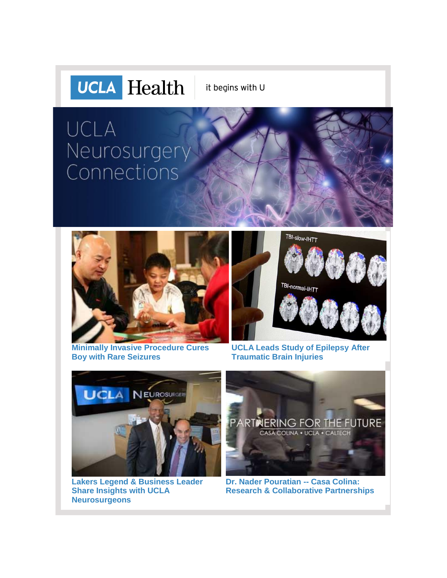

it begins with U

# UCLA Neurosurgery Connections



**[Minimally Invasive Procedure Cures](http://r20.rs6.net/tn.jsp?f=001GQTQCjxg6Pk_zdJlkqANFqW_0CjD5ISqSanIFZ4sqCIYFotM1u3jKkvhm6xJ0ud19Hluz8oxtwgw0xYjKkh3xCGZTbGDdrVm9-br9VZ1fBRxtLhyLmrQoEY0VZJK7JUbKFO0EFT3PC32Nm6KTgdUOS8y6UUFIyWPVrOQVcGID6QyJSCFSuGK4-afVRJsPIaKcTUI-bSPmmP3CDfDijkv4FFpbRXqmOiKPclpwHljzaUZZy3tCr3vKf0Nf05GiJ0ZHPPALkKiE36SKqMGHofu6EOV1boNriiv&c=MBtnTuy2pFgbK519x3LfygfH1Q8B2CBzfUE7-Dh9_lMIg5Zm4nLcFQ==&ch=z_Zk02KLtSRHEWi8WPoL1-ymsGG4bhZnPI2K15wEN-MTsxKjshrD9Q==) [Boy with Rare Seizures](http://r20.rs6.net/tn.jsp?f=001GQTQCjxg6Pk_zdJlkqANFqW_0CjD5ISqSanIFZ4sqCIYFotM1u3jKkvhm6xJ0ud19Hluz8oxtwgw0xYjKkh3xCGZTbGDdrVm9-br9VZ1fBRxtLhyLmrQoEY0VZJK7JUbKFO0EFT3PC32Nm6KTgdUOS8y6UUFIyWPVrOQVcGID6QyJSCFSuGK4-afVRJsPIaKcTUI-bSPmmP3CDfDijkv4FFpbRXqmOiKPclpwHljzaUZZy3tCr3vKf0Nf05GiJ0ZHPPALkKiE36SKqMGHofu6EOV1boNriiv&c=MBtnTuy2pFgbK519x3LfygfH1Q8B2CBzfUE7-Dh9_lMIg5Zm4nLcFQ==&ch=z_Zk02KLtSRHEWi8WPoL1-ymsGG4bhZnPI2K15wEN-MTsxKjshrD9Q==)**



**[UCLA Leads Study of Epilepsy](http://r20.rs6.net/tn.jsp?f=001GQTQCjxg6Pk_zdJlkqANFqW_0CjD5ISqSanIFZ4sqCIYFotM1u3jKkvhm6xJ0ud1Ehx6pzFsN-XVcKcJJxNVWCZbWHuedm9iffaXHc4fCkDmhHpbpxQsFjA6a6mtZ1bUf14z5XZkOZ1U8SV_RptXct2THKYmga4yIoD9mDI30aU1zZEvSlGUxFOQFzoo5f4PZ3KiJVV4YQGa2YPsXBr8RnE8taGcLDo58KrB8sCHrrDdz4mp66u7IawIyvP1mN9n6PeBFo-gdsUdMEGlmGtZffJqevNWh4hD&c=MBtnTuy2pFgbK519x3LfygfH1Q8B2CBzfUE7-Dh9_lMIg5Zm4nLcFQ==&ch=z_Zk02KLtSRHEWi8WPoL1-ymsGG4bhZnPI2K15wEN-MTsxKjshrD9Q==) After [Traumatic Brain Injuries](http://r20.rs6.net/tn.jsp?f=001GQTQCjxg6Pk_zdJlkqANFqW_0CjD5ISqSanIFZ4sqCIYFotM1u3jKkvhm6xJ0ud1Ehx6pzFsN-XVcKcJJxNVWCZbWHuedm9iffaXHc4fCkDmhHpbpxQsFjA6a6mtZ1bUf14z5XZkOZ1U8SV_RptXct2THKYmga4yIoD9mDI30aU1zZEvSlGUxFOQFzoo5f4PZ3KiJVV4YQGa2YPsXBr8RnE8taGcLDo58KrB8sCHrrDdz4mp66u7IawIyvP1mN9n6PeBFo-gdsUdMEGlmGtZffJqevNWh4hD&c=MBtnTuy2pFgbK519x3LfygfH1Q8B2CBzfUE7-Dh9_lMIg5Zm4nLcFQ==&ch=z_Zk02KLtSRHEWi8WPoL1-ymsGG4bhZnPI2K15wEN-MTsxKjshrD9Q==)**



**[Lakers Legend & Business Leader](http://r20.rs6.net/tn.jsp?f=001GQTQCjxg6Pk_zdJlkqANFqW_0CjD5ISqSanIFZ4sqCIYFotM1u3jKkvhm6xJ0ud1MVXYmO-aJt3I4A1ovvoHc-nxEmjP8bdJGsTzD-KfMLzNKFDOtp87Ii1rxAiebumBpBRVlhF5ygUp__Y5ouFHcpPnYKt2uJhI7KD8iSyAOq4ziA7mTXqu0FH2L07lScfDcVArPzesYwWFlgvZShdciDVmVK8cntZQvhsnx7lmvXFOFdTFVaSYsSHI0GJIiqGTFqas0BbIaWQ=&c=MBtnTuy2pFgbK519x3LfygfH1Q8B2CBzfUE7-Dh9_lMIg5Zm4nLcFQ==&ch=z_Zk02KLtSRHEWi8WPoL1-ymsGG4bhZnPI2K15wEN-MTsxKjshrD9Q==)  [Share Insights with UCLA](http://r20.rs6.net/tn.jsp?f=001GQTQCjxg6Pk_zdJlkqANFqW_0CjD5ISqSanIFZ4sqCIYFotM1u3jKkvhm6xJ0ud1MVXYmO-aJt3I4A1ovvoHc-nxEmjP8bdJGsTzD-KfMLzNKFDOtp87Ii1rxAiebumBpBRVlhF5ygUp__Y5ouFHcpPnYKt2uJhI7KD8iSyAOq4ziA7mTXqu0FH2L07lScfDcVArPzesYwWFlgvZShdciDVmVK8cntZQvhsnx7lmvXFOFdTFVaSYsSHI0GJIiqGTFqas0BbIaWQ=&c=MBtnTuy2pFgbK519x3LfygfH1Q8B2CBzfUE7-Dh9_lMIg5Zm4nLcFQ==&ch=z_Zk02KLtSRHEWi8WPoL1-ymsGG4bhZnPI2K15wEN-MTsxKjshrD9Q==)  [Neurosurgeons](http://r20.rs6.net/tn.jsp?f=001GQTQCjxg6Pk_zdJlkqANFqW_0CjD5ISqSanIFZ4sqCIYFotM1u3jKkvhm6xJ0ud1MVXYmO-aJt3I4A1ovvoHc-nxEmjP8bdJGsTzD-KfMLzNKFDOtp87Ii1rxAiebumBpBRVlhF5ygUp__Y5ouFHcpPnYKt2uJhI7KD8iSyAOq4ziA7mTXqu0FH2L07lScfDcVArPzesYwWFlgvZShdciDVmVK8cntZQvhsnx7lmvXFOFdTFVaSYsSHI0GJIiqGTFqas0BbIaWQ=&c=MBtnTuy2pFgbK519x3LfygfH1Q8B2CBzfUE7-Dh9_lMIg5Zm4nLcFQ==&ch=z_Zk02KLtSRHEWi8WPoL1-ymsGG4bhZnPI2K15wEN-MTsxKjshrD9Q==)**



**[Dr. Nader Pouratian --](http://r20.rs6.net/tn.jsp?f=001GQTQCjxg6Pk_zdJlkqANFqW_0CjD5ISqSanIFZ4sqCIYFotM1u3jKkvhm6xJ0ud1DJAoUJN-TvgsDs4Yk7lXTnDHVN1u5YiBVZx99rZ9dhjVVFseI0wn6ZHgB6gC8PtKgLz0MRDTSeEtMIfJhfoEpICB_2vPDpF_PkF7fVFThKUqiMde4vKXfPWr3-W2U28L2UnNB1lyGsBYeu5lX7j0ydwnwtkLWj3YTcj2kRDapIQ=&c=MBtnTuy2pFgbK519x3LfygfH1Q8B2CBzfUE7-Dh9_lMIg5Zm4nLcFQ==&ch=z_Zk02KLtSRHEWi8WPoL1-ymsGG4bhZnPI2K15wEN-MTsxKjshrD9Q==) Casa Colina: [Research & Collaborative Partnerships](http://r20.rs6.net/tn.jsp?f=001GQTQCjxg6Pk_zdJlkqANFqW_0CjD5ISqSanIFZ4sqCIYFotM1u3jKkvhm6xJ0ud1DJAoUJN-TvgsDs4Yk7lXTnDHVN1u5YiBVZx99rZ9dhjVVFseI0wn6ZHgB6gC8PtKgLz0MRDTSeEtMIfJhfoEpICB_2vPDpF_PkF7fVFThKUqiMde4vKXfPWr3-W2U28L2UnNB1lyGsBYeu5lX7j0ydwnwtkLWj3YTcj2kRDapIQ=&c=MBtnTuy2pFgbK519x3LfygfH1Q8B2CBzfUE7-Dh9_lMIg5Zm4nLcFQ==&ch=z_Zk02KLtSRHEWi8WPoL1-ymsGG4bhZnPI2K15wEN-MTsxKjshrD9Q==)**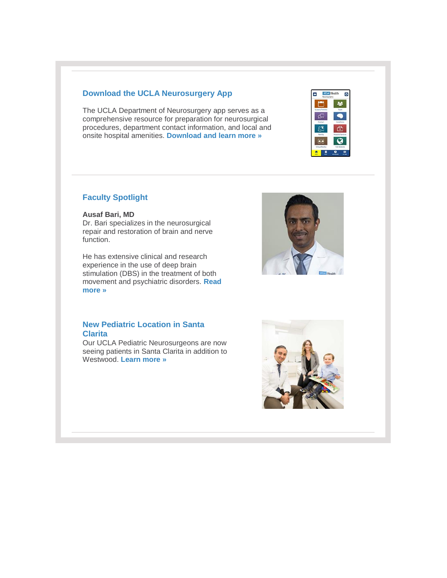#### **Download the UCLA Neurosurgery App**

The UCLA Department of Neurosurgery app serves as a comprehensive resource for preparation for neurosurgical procedures, department contact information, and local and onsite hospital amenities. **[Download and learn more »](http://r20.rs6.net/tn.jsp?f=001GQTQCjxg6Pk_zdJlkqANFqW_0CjD5ISqSanIFZ4sqCIYFotM1u3jKjTv8u_OWl73GBATMywWKaVdeYlQwfHiQtjUGm0pCkVR-aQJT8YMqwcrB1vVojUpln4hDOX88nC2ifE_Uimo996KCQIRba0gkc4pEqveJx8x0NbMw_223QxuQM9Gw3AC784GKxjyirOnbmc5ndDf2GBK0xOpN1dpbg==&c=MBtnTuy2pFgbK519x3LfygfH1Q8B2CBzfUE7-Dh9_lMIg5Zm4nLcFQ==&ch=z_Zk02KLtSRHEWi8WPoL1-ymsGG4bhZnPI2K15wEN-MTsxKjshrD9Q==)**



#### **Faculty Spotlight**

#### **Ausaf Bari, MD**

Dr. Bari specializes in the neurosurgical repair and restoration of brain and nerve function.

He has extensive clinical and research experience in the use of deep brain stimulation (DBS) in the treatment of both movement and psychiatric disorders. **[Read](http://r20.rs6.net/tn.jsp?f=001GQTQCjxg6Pk_zdJlkqANFqW_0CjD5ISqSanIFZ4sqCIYFotM1u3jKkvhm6xJ0ud1IBkuni7e1pHHd9sg6_5GxWwTwR5uWP3uzv1ZGYJC-wjBrOuPO0YLQA1qcITABE6nrmtASF2DBRx7XBDgljiOBLDdsShj4nJ8OCiEEHNhSWWs-uDUWMciRgB64zU3xha7&c=MBtnTuy2pFgbK519x3LfygfH1Q8B2CBzfUE7-Dh9_lMIg5Zm4nLcFQ==&ch=z_Zk02KLtSRHEWi8WPoL1-ymsGG4bhZnPI2K15wEN-MTsxKjshrD9Q==)  [more »](http://r20.rs6.net/tn.jsp?f=001GQTQCjxg6Pk_zdJlkqANFqW_0CjD5ISqSanIFZ4sqCIYFotM1u3jKkvhm6xJ0ud1IBkuni7e1pHHd9sg6_5GxWwTwR5uWP3uzv1ZGYJC-wjBrOuPO0YLQA1qcITABE6nrmtASF2DBRx7XBDgljiOBLDdsShj4nJ8OCiEEHNhSWWs-uDUWMciRgB64zU3xha7&c=MBtnTuy2pFgbK519x3LfygfH1Q8B2CBzfUE7-Dh9_lMIg5Zm4nLcFQ==&ch=z_Zk02KLtSRHEWi8WPoL1-ymsGG4bhZnPI2K15wEN-MTsxKjshrD9Q==)**



#### **New Pediatric Location in Santa Clarita**

Our UCLA Pediatric Neurosurgeons are now seeing patients in Santa Clarita in addition to Westwood. **[Learn more »](http://r20.rs6.net/tn.jsp?f=001GQTQCjxg6Pk_zdJlkqANFqW_0CjD5ISqSanIFZ4sqCIYFotM1u3jKkvhm6xJ0ud1dL10SPmYaC3psSuSW75g4S1DfA0t6leQiiWECiFk-18d1ZdL30cuqyL0Smvu4xkr8rxdS7iuL-b-g18A4PwebLh44pDGAQPRBzoEDFE4daNRzc80mr8XvCzusgoBgrzuGTvlSFHHsUnr9LbVugdT8gthm5nBTyss&c=MBtnTuy2pFgbK519x3LfygfH1Q8B2CBzfUE7-Dh9_lMIg5Zm4nLcFQ==&ch=z_Zk02KLtSRHEWi8WPoL1-ymsGG4bhZnPI2K15wEN-MTsxKjshrD9Q==)**